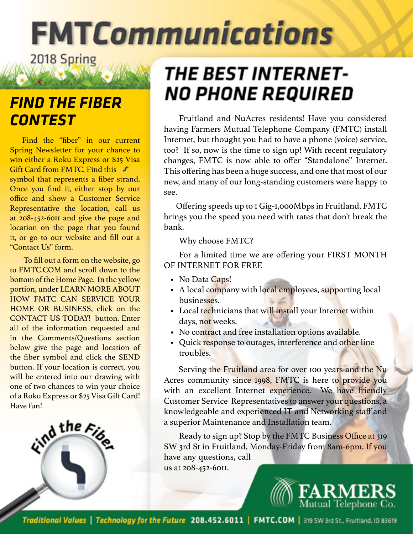# **FMTCommunications** 2018 Spring

### *FIND THE FIBER CONTEST*

Find the "fiber" in our current Spring Newsletter for your chance to win either a Roku Express or \$25 Visa Gift Card from FMTC. Find this symbol that represents a fiber strand. Once you find it, either stop by our office and show a Customer Service Representative the location, call us at 208-452-6011 and give the page and location on the page that you found it, or go to our website and fill out a "Contact Us" form.

 To fill out a form on the website, go to FMTC.COM and scroll down to the bottom of the Home Page. In the yellow portion, under LEARN MORE ABOUT HOW FMTC CAN SERVICE YOUR HOME OR BUSINESS, click on the CONTACT US TODAY! button. Enter all of the information requested and in the Comments/Questions section below give the page and location of the fiber symbol and click the SEND button. If your location is correct, you will be entered into our drawing with one of two chances to win your choice of a Roku Express or \$25 Visa Gift Card! Have fun!



# *THE BEST INTERNET-*NO PHONE REQUIRED

Fruitland and NuAcres residents! Have you considered having Farmers Mutual Telephone Company (FMTC) install Internet, but thought you had to have a phone (voice) service, too? If so, now is the time to sign up! With recent regulatory changes, FMTC is now able to offer "Standalone" Internet. This offering has been a huge success, and one that most of our new, and many of our long-standing customers were happy to see.

Offering speeds up to 1 Gig-1,000Mbps in Fruitland, FMTC brings you the speed you need with rates that don't break the bank.

Why choose FMTC?

For a limited time we are offering your FIRST MONTH OF INTERNET FOR FREE

- No Data Caps!
- A local company with local employees, supporting local businesses.
- Local technicians that will install your Internet within days, not weeks.
- No contract and free installation options available.
- Quick response to outages, interference and other line troubles.

Serving the Fruitland area for over 100 years and the Nu Acres community since 1998, FMTC is here to provide you with an excellent Internet experience. We have friendly Customer Service Representatives to answer your questions, a knowledgeable and experienced IT and Networking staff and a superior Maintenance and Installation team.

Ready to sign up? Stop by the FMTC Business Office at 319 SW 3rd St in Fruitland, Monday-Friday from 8am-6pm. If you have any questions, call us at 208-452-6011.

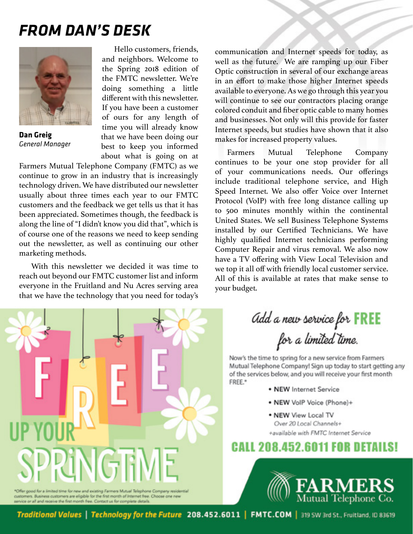## *FROM DAN'S DESK*



**Dan Greig** *General Manager*

Hello customers, friends, and neighbors. Welcome to the Spring 2018 edition of the FMTC newsletter. We're doing something a little different with this newsletter. If you have been a customer of ours for any length of time you will already know that we have been doing our best to keep you informed about what is going on at

Farmers Mutual Telephone Company (FMTC) as we continue to grow in an industry that is increasingly technology driven. We have distributed our newsletter usually about three times each year to our FMTC customers and the feedback we get tells us that it has been appreciated. Sometimes though, the feedback is along the line of "I didn't know you did that", which is of course one of the reasons we need to keep sending out the newsletter, as well as continuing our other marketing methods.

With this newsletter we decided it was time to reach out beyond our FMTC customer list and inform everyone in the Fruitland and Nu Acres serving area that we have the technology that you need for today's

communication and Internet speeds for today, as well as the future. We are ramping up our Fiber Optic construction in several of our exchange areas in an effort to make those higher Internet speeds available to everyone. As we go through this year you will continue to see our contractors placing orange colored conduit and fiber optic cable to many homes and businesses. Not only will this provide for faster Internet speeds, but studies have shown that it also makes for increased property values.

Farmers Mutual Telephone Company continues to be your one stop provider for all of your communications needs. Our offerings include traditional telephone service, and High Speed Internet. We also offer Voice over Internet Protocol (VoIP) with free long distance calling up to 500 minutes monthly within the continental United States. We sell Business Telephone Systems installed by our Certified Technicians. We have highly qualified Internet technicians performing Computer Repair and virus removal. We also now have a TV offering with View Local Television and we top it all off with friendly local customer service. All of this is available at rates that make sense to your budget.



Add a new service for **FREE**<br>for a limited time.

Now's the time to spring for a new service from Farmers Mutual Telephone Company! Sign up today to start getting any of the services below, and you will receive your first month FREE.\*

- NEW Internet Service
- . NEW VolP Voice (Phone)+
- . NEW View Local TV Over 20 Local Channels+ +available with FMTC Internet Service

### **CALL 208.452.6011 FOR DETAILS!**



Traditional Values | Technology for the Future 208.452.6011 | FMTC.COM | 319 SW 3rd St., Fruitland, ID 83619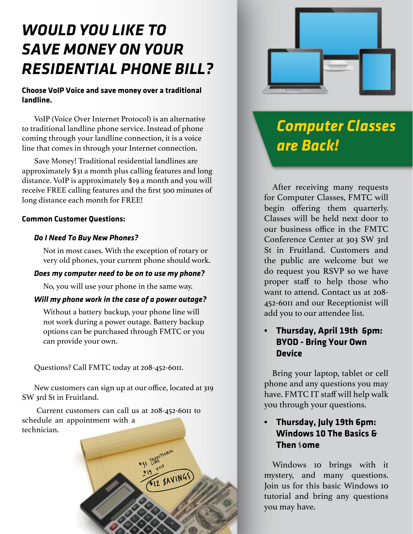# *WOULD YOU LIKE TO SAVE MONEY ON YOUR RESIDENTIAL PHONE BILL?*

#### **Choose VoIP Voice and save money over a traditional landline.**

VoIP (Voice Over Internet Protocol) is an alternative to traditional landline phone service. Instead of phone coming through your landline connection, it is a voice line that comes in through your Internet connection.

Save Money! Traditional residential landlines are approximately \$31 a month plus calling features and long distance. VoIP is approximately \$19 a month and you will receive FREE calling features and the first 500 minutes of long distance each month for FREE!

#### **Common Customer Questions:**

#### *Do I Need To Buy New Phones?*

Not in most cases. With the exception of rotary or very old phones, your current phone should work.

#### *Does my computer need to be on to use my phone?*

No, you will use your phone in the same way.

#### *Will my phone work in the case of a power outage?*

Without a battery backup, your phone line will not work during a power outage. Battery backup options can be purchased through FMTC or you can provide your own.

Questions? Call FMTC today at 208-452-6011.

New customers can sign up at our office, located at 319 SW 3rd St in Fruitland.

 Current customers can call us at 208-452-6011 to schedule an appointment with a technician.





# *Computer Classes are Back!*

After receiving many requests for Computer Classes, FMTC will begin offering them quarterly. Classes will be held next door to our business office in the FMTC Conference Center at 303 SW 3rd St in Fruitland. Customers and the public are welcome but we do request you RSVP so we have proper staff to help those who want to attend. Contact us at 208- 452-6011 and our Receptionist will add you to our attendee list.

#### **• Thursday, April 19th 6pm: BYOD - Bring Your Own Device**

Bring your laptop, tablet or cell phone and any questions you may have. FMTC IT staff will help walk you through your questions.

#### **• Thursday, July 19th 6pm: Windows 10 The Basics & Then some**

Windows 10 brings with it mystery, and many questions. Join us for this basic Windows 10 tutorial and bring any questions you may have.